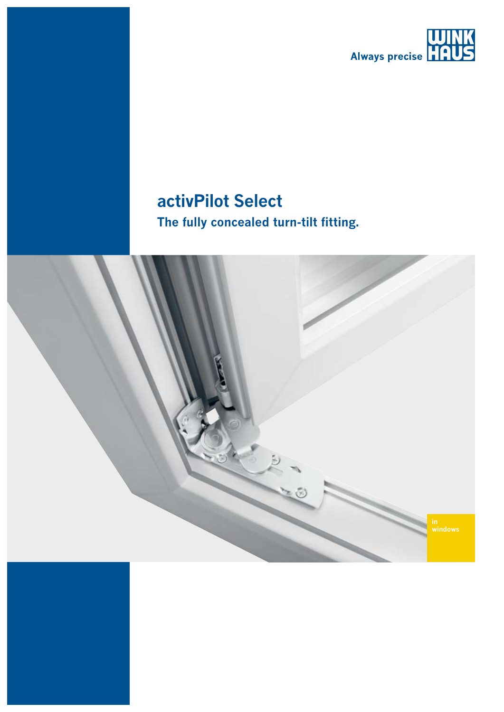

# **activPilot Select The fully concealed turn-tilt fitting.**

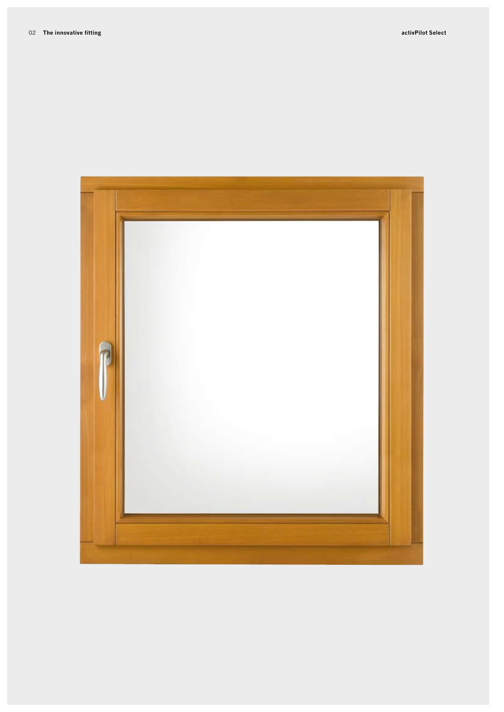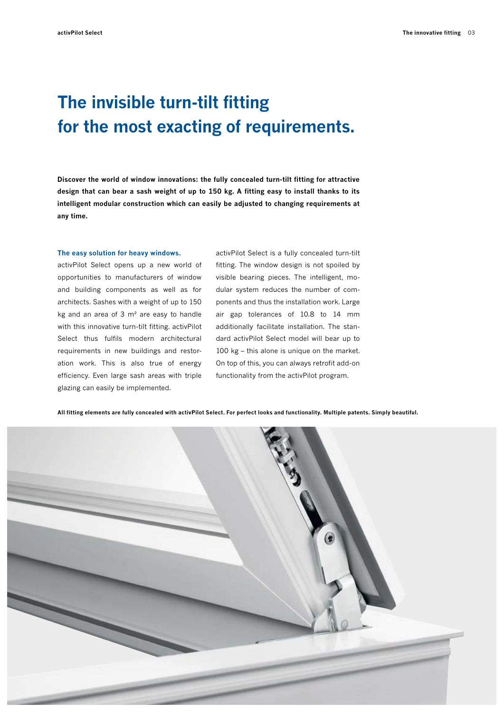# **The invisible turn-tilt fitting for the most exacting of requirements.**

**Discover the world of window innovations: the fully concealed turn-tilt fitting for attractive design that can bear a sash weight of up to 150 kg. A fitting easy to install thanks to its intelligent modular construction which can easily be adjusted to changing requirements at any time.**

#### **The easy solution for heavy windows.**

activPilot Select opens up a new world of opportunities to manufacturers of window and building components as well as for architects. Sashes with a weight of up to 150 kg and an area of 3 m² are easy to handle with this innovative turn-tilt fitting. activPilot Select thus fulfils modern architectural requirements in new buildings and restoration work. This is also true of energy efficiency. Even large sash areas with triple glazing can easily be implemented.

activPilot Select is a fully concealed turn-tilt fitting. The window design is not spoiled by visible bearing pieces. The intelligent, modular system reduces the number of components and thus the installation work. Large air gap tolerances of 10.8 to 14 mm additionally facilitate installation. The standard activPilot Select model will bear up to 100 kg – this alone is unique on the market. On top of this, you can always retrofit add-on functionality from the activPilot program.

**All fitting elements are fully concealed with activPilot Select. For perfect looks and functionality. Multiple patents. Simply beautiful.**

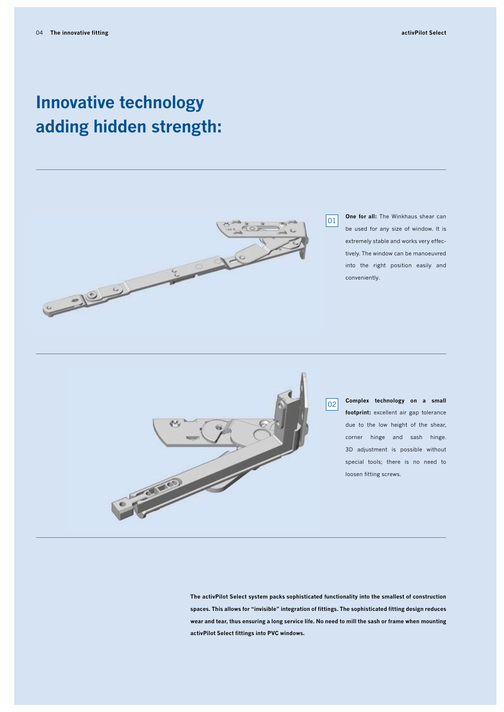# **Innovative technology adding hidden strength:**



**The activPilot Select system packs sophisticated functionality into the smallest of construction spaces. This allows for "invisible" integration of fittings. The sophisticated fitting design reduces wear and tear, thus ensuring a long service life. No need to mill the sash or frame when mounting activPilot Select fittings into PVC windows.**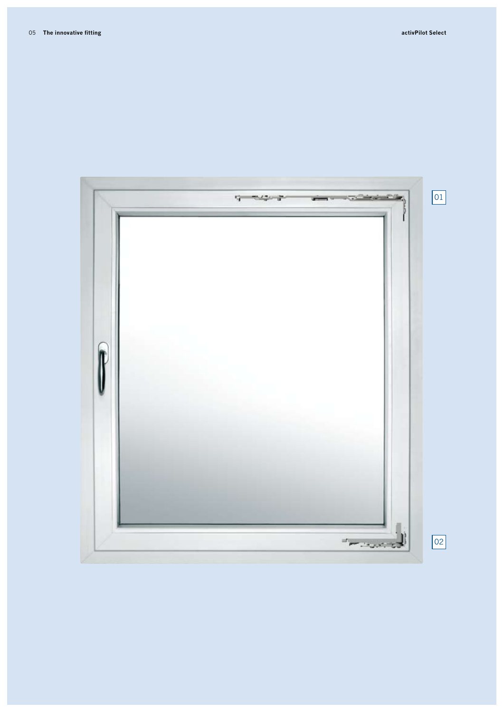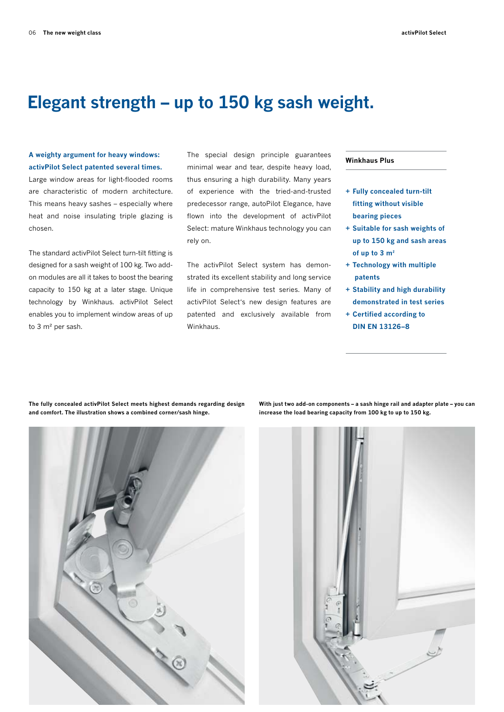# **Elegant strength – up to 150 kg sash weight.**

### **A weighty argument for heavy windows: activPilot Select patented several times.**

Large window areas for light-flooded rooms are characteristic of modern architecture. This means heavy sashes – especially where heat and noise insulating triple glazing is chosen.

The standard activPilot Select turn-tilt fitting is designed for a sash weight of 100 kg. Two addon modules are all it takes to boost the bearing capacity to 150 kg at a later stage. Unique technology by Winkhaus. activPilot Select enables you to implement window areas of up to 3 m² per sash.

The special design principle guarantees minimal wear and tear, despite heavy load, thus ensuring a high durability. Many years of experience with the tried-and-trusted predecessor range, autoPilot Elegance, have flown into the development of activPilot Select: mature Winkhaus technology you can rely on.

The activPilot Select system has demonstrated its excellent stability and long service life in comprehensive test series. Many of activPilot Select's new design features are patented and exclusively available from Winkhaus.

#### **Winkhaus Plus**

- **+ Fully concealed turn-tilt fitting without visible bearing pieces**
- **+ Suitable for sash weights of up to 150 kg and sash areas of up to 3 m²**
- **+ Technology with multiple patents**
- **+ Stability and high durability demonstrated in test series**
- **+ Certified according to DIN EN 13126–8**

**The fully concealed activPilot Select meets highest demands regarding design and comfort. The illustration shows a combined corner/sash hinge.**



**With just two add-on components – a sash hinge rail and adapter plate – you can increase the load bearing capacity from 100 kg to up to 150 kg.**

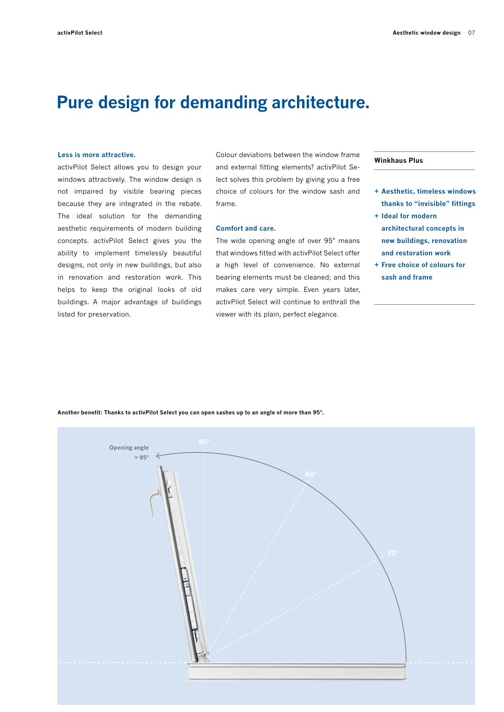# **Pure design for demanding architecture.**

#### **Less is more attractive.**

activPilot Select allows you to design your windows attractively. The window design is not impaired by visible bearing pieces because they are integrated in the rebate. The ideal solution for the demanding aesthetic requirements of modern building concepts. activPilot Select gives you the ability to implement timelessly beautiful designs, not only in new buildings, but also in renovation and restoration work. This helps to keep the original looks of old buildings. A major advantage of buildings listed for preservation.

Colour deviations between the window frame and external fitting elements? activPilot Select solves this problem by giving you a free choice of colours for the window sash and frame.

#### **Comfort and care.**

The wide opening angle of over 95° means that windows fitted with activPilot Select offer a high level of convenience. No external bearing elements must be cleaned; and this makes care very simple. Even years later, activPilot Select will continue to enthrall the viewer with its plain, perfect elegance.

#### **Winkhaus Plus**

- **+ Aesthetic, timeless windows thanks to "invisible" fittings**
- **+ Ideal for modern architectural concepts in new buildings, renovation and restoration work**
- **+ Free choice of colours for sash and frame**



**Another benefit: Thanks to activPilot Select you can open sashes up to an angle of more than 95°.**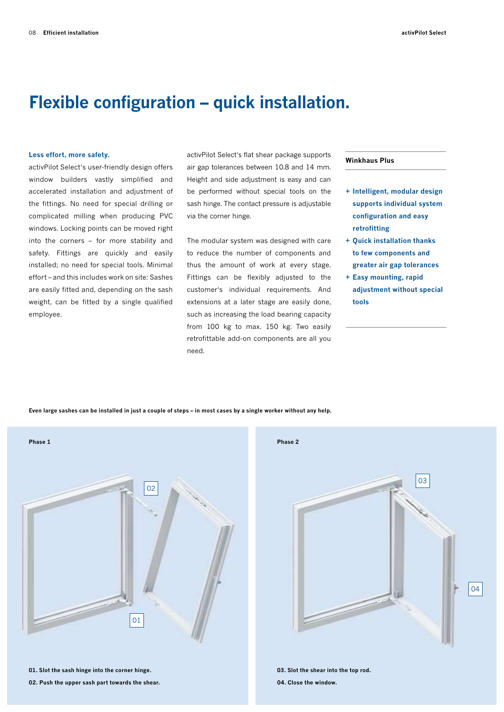## **Flexible configuration – quick installation.**

#### **Less effort, more safety.**

activPilot Select's user-friendly design offers window builders vastly simplified and accelerated installation and adjustment of the fittings. No need for special drilling or complicated milling when producing PVC windows. Locking points can be moved right into the corners – for more stability and safety. Fittings are quickly and easily installed; no need for special tools. Minimal effort – and this includes work on site: Sashes are easily fitted and, depending on the sash weight, can be fitted by a single qualified employee.

activPilot Select's flat shear package supports air gap tolerances between 10.8 and 14 mm. Height and side adjustment is easy and can be performed without special tools on the sash hinge. The contact pressure is adjustable via the corner hinge.

The modular system was designed with care to reduce the number of components and thus the amount of work at every stage. Fittings can be flexibly adjusted to the customer's individual requirements. And extensions at a later stage are easily done, such as increasing the load bearing capacity from 100 kg to max. 150 kg. Two easily retrofittable add-on components are all you need.

#### **Winkhaus Plus**

- **+ Intelligent, modular design supports individual system configuration and easy retrofitting**
- **+ Quick installation thanks to few components and greater air gap tolerances**
- **+ Easy mounting, rapid adjustment without special tools**

**Even large sashes can be installed in just a couple of steps – in most cases by a single worker without any help.** 



**01. Slot the sash hinge into the corner hinge.**

**02. Push the upper sash part towards the shear.**



**03. Slot the shear into the top rod. 04. Close the window.**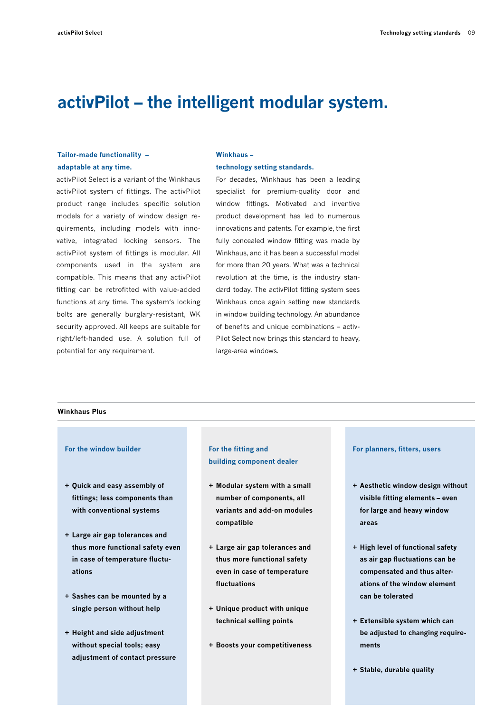# **activPilot – the intelligent modular system.**

### **Tailor-made functionality – adaptable at any time.**

activPilot Select is a variant of the Winkhaus activPilot system of fittings. The activPilot product range includes specific solution models for a variety of window design requirements, including models with innovative, integrated locking sensors. The activPilot system of fittings is modular. All components used in the system are compatible. This means that any activPilot fitting can be retrofitted with value-added functions at any time. The system's locking bolts are generally burglary-resistant, WK security approved. All keeps are suitable for right/left-handed use. A solution full of potential for any requirement.

### **Winkhaus –**

### **technology setting standards.**

For decades, Winkhaus has been a leading specialist for premium-quality door and window fittings. Motivated and inventive product development has led to numerous innovations and patents. For example, the first fully concealed window fitting was made by Winkhaus, and it has been a successful model for more than 20 years. What was a technical revolution at the time, is the industry standard today. The activPilot fitting system sees Winkhaus once again setting new standards in window building technology. An abundance of benefits and unique combinations – activ-Pilot Select now brings this standard to heavy, large-area windows.

### **Winkhaus Plus**

#### **For the window builder**

- **+ Quick and easy assembly of fittings; less components than with conventional systems**
- **+ Large air gap tolerances and thus more functional safety even in case of temperature fluctuations**
- **+ Sashes can be mounted by a single person without help**
- **+ Height and side adjustment without special tools; easy adjustment of contact pressure**

### **For the fitting and building component dealer**

- **+ Modular system with a small number of components, all variants and add-on modules compatible**
- **+ Large air gap tolerances and thus more functional safety even in case of temperature fluctuations**
- **+ Unique product with unique technical selling points**
- **+ Boosts your competitiveness**

#### **For planners, fitters, users**

- **+ Aesthetic window design without visible fitting elements – even for large and heavy window areas**
- **+ High level of functional safety as air gap fluctuations can be compensated and thus alterations of the window element can be tolerated**
- **+ Extensible system which can be adjusted to changing requirements**
- **+ Stable, durable quality**